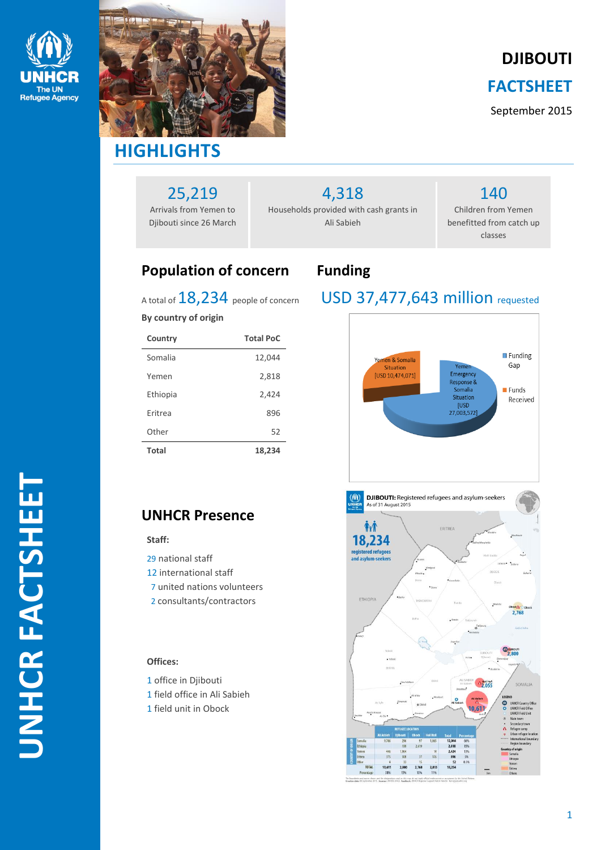



**DJIBOUTI**

### **FACTSHEET**

September 2015

# 25,219

Arrivals from Yemen to Djibouti since 26 March 4,318

Households provided with cash grants in Ali Sabieh

### 140 Children from Yemen benefitted from catch up classes

### **Population of concern Funding**

### USD 37,477,643 million requested



### A total of 18,234 people of concern

### **By country of origin**

| Country        | <b>Total PoC</b> |
|----------------|------------------|
| Somalia        | 12,044           |
| Yemen          | 2,818            |
| Ethiopia       | 2,424            |
| <b>Fritrea</b> | 896              |
| Other          | 52               |
| Total          | 18,234           |

### **UNHCR Presence**

### **Staff:**

- 29 national staff
- 12 international staff
- 7 united nations volunteers
- 2 consultants/contractors

### **Offices:**

- 1 office in Diibouti
- 1 field office in Ali Sabieh
- 1 field unit in Obock

workforce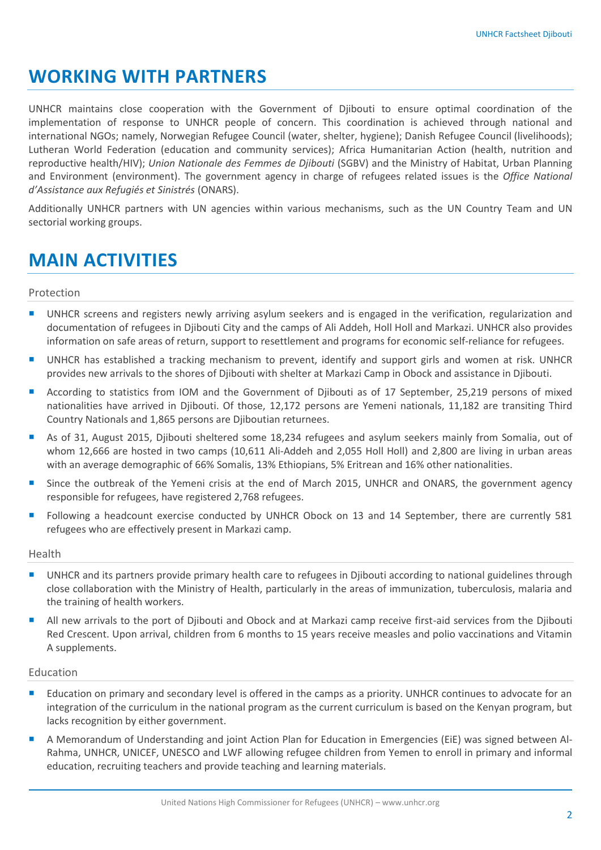### **WORKING WITH PARTNERS**

UNHCR maintains close cooperation with the Government of Djibouti to ensure optimal coordination of the implementation of response to UNHCR people of concern. This coordination is achieved through national and international NGOs; namely, Norwegian Refugee Council (water, shelter, hygiene); Danish Refugee Council (livelihoods); Lutheran World Federation (education and community services); Africa Humanitarian Action (health, nutrition and reproductive health/HIV); *Union Nationale des Femmes de Djibouti* (SGBV) and the Ministry of Habitat, Urban Planning and Environment (environment). The government agency in charge of refugees related issues is the *Office National d'Assistance aux Refugiés et Sinistrés* (ONARS).

Additionally UNHCR partners with UN agencies within various mechanisms, such as the UN Country Team and UN sectorial working groups.

## **MAIN ACTIVITIES**

### Protection

- **UNHCR** screens and registers newly arriving asylum seekers and is engaged in the verification, regularization and documentation of refugees in Djibouti City and the camps of Ali Addeh, Holl Holl and Markazi. UNHCR also provides information on safe areas of return, support to resettlement and programs for economic self-reliance for refugees.
- UNHCR has established a tracking mechanism to prevent, identify and support girls and women at risk. UNHCR provides new arrivals to the shores of Djibouti with shelter at Markazi Camp in Obock and assistance in Djibouti.
- According to statistics from IOM and the Government of Djibouti as of 17 September, 25,219 persons of mixed nationalities have arrived in Djibouti. Of those, 12,172 persons are Yemeni nationals, 11,182 are transiting Third Country Nationals and 1,865 persons are Djiboutian returnees.
- As of 31, August 2015, Djibouti sheltered some 18,234 refugees and asylum seekers mainly from Somalia, out of whom 12,666 are hosted in two camps (10,611 Ali-Addeh and 2,055 Holl Holl) and 2,800 are living in urban areas with an average demographic of 66% Somalis, 13% Ethiopians, 5% Eritrean and 16% other nationalities.
- **Since the outbreak of the Yemeni crisis at the end of March 2015, UNHCR and ONARS, the government agency** responsible for refugees, have registered 2,768 refugees.
- **Following a headcount exercise conducted by UNHCR Obock on 13 and 14 September, there are currently 581** refugees who are effectively present in Markazi camp.

#### Health

- UNHCR and its partners provide primary health care to refugees in Diibouti according to national guidelines through close collaboration with the Ministry of Health, particularly in the areas of immunization, tuberculosis, malaria and the training of health workers.
- All new arrivals to the port of Djibouti and Obock and at Markazi camp receive first-aid services from the Djibouti Red Crescent. Upon arrival, children from 6 months to 15 years receive measles and polio vaccinations and Vitamin A supplements.

#### Education

- **E** Education on primary and secondary level is offered in the camps as a priority. UNHCR continues to advocate for an integration of the curriculum in the national program as the current curriculum is based on the Kenyan program, but lacks recognition by either government.
- A Memorandum of Understanding and joint Action Plan for Education in Emergencies (EiE) was signed between Al-Rahma, UNHCR, UNICEF, UNESCO and LWF allowing refugee children from Yemen to enroll in primary and informal education, recruiting teachers and provide teaching and learning materials.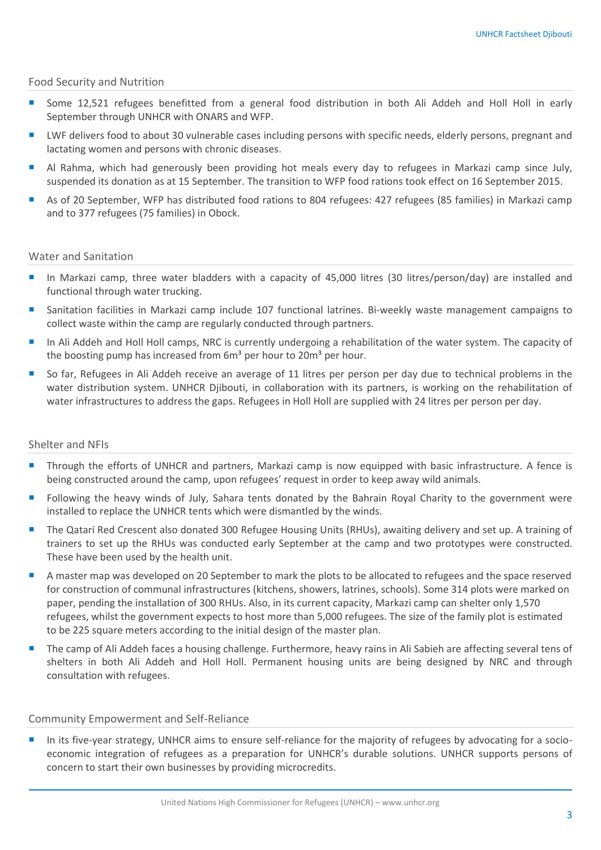### Food Security and Nutrition

- Some 12,521 refugees benefitted from a general food distribution in both Ali Addeh and Holl Holl in early September through UNHCR with ONARS and WFP.
- LWF delivers food to about 30 vulnerable cases including persons with specific needs, elderly persons, pregnant and lactating women and persons with chronic diseases.
- Al Rahma, which had generously been providing hot meals every day to refugees in Markazi camp since July, suspended its donation as at 15 September. The transition to WFP food rations took effect on 16 September 2015.
- As of 20 September, WFP has distributed food rations to 804 refugees: 427 refugees (85 families) in Markazi camp and to 377 refugees (75 families) in Obock.

### Water and Sanitation

- In Markazi camp, three water bladders with a capacity of 45,000 litres (30 litres/person/day) are installed and functional through water trucking.
- Sanitation facilities in Markazi camp include 107 functional latrines. Bi-weekly waste management campaigns to collect waste within the camp are regularly conducted through partners.
- In Ali Addeh and Holl Holl camps, NRC is currently undergoing a rehabilitation of the water system. The capacity of the boosting pump has increased from  $6m<sup>3</sup>$  per hour to 20 $m<sup>3</sup>$  per hour.
- So far, Refugees in Ali Addeh receive an average of 11 litres per person per day due to technical problems in the water distribution system. UNHCR Djibouti, in collaboration with its partners, is working on the rehabilitation of water infrastructures to address the gaps. Refugees in Holl Holl are supplied with 24 litres per person per day.

### Shelter and NFIs

- Through the efforts of UNHCR and partners, Markazi camp is now equipped with basic infrastructure. A fence is being constructed around the camp, upon refugees' request in order to keep away wild animals.
- **Following the heavy winds of July, Sahara tents donated by the Bahrain Royal Charity to the government were** installed to replace the UNHCR tents which were dismantled by the winds.
- **The Qatari Red Crescent also donated 300 Refugee Housing Units (RHUs), awaiting delivery and set up. A training of** trainers to set up the RHUs was conducted early September at the camp and two prototypes were constructed. These have been used by the health unit.
- A master map was developed on 20 September to mark the plots to be allocated to refugees and the space reserved for construction of communal infrastructures (kitchens, showers, latrines, schools). Some 314 plots were marked on paper, pending the installation of 300 RHUs. Also, in its current capacity, Markazi camp can shelter only 1,570 refugees, whilst the government expects to host more than 5,000 refugees. The size of the family plot is estimated to be 225 square meters according to the initial design of the master plan.
- The camp of Ali Addeh faces a housing challenge. Furthermore, heavy rains in Ali Sabieh are affecting several tens of shelters in both Ali Addeh and Holl Holl. Permanent housing units are being designed by NRC and through consultation with refugees.

### Community Empowerment and Self-Reliance

 In its five-year strategy, UNHCR aims to ensure self-reliance for the majority of refugees by advocating for a socioeconomic integration of refugees as a preparation for UNHCR's durable solutions. UNHCR supports persons of concern to start their own businesses by providing microcredits.